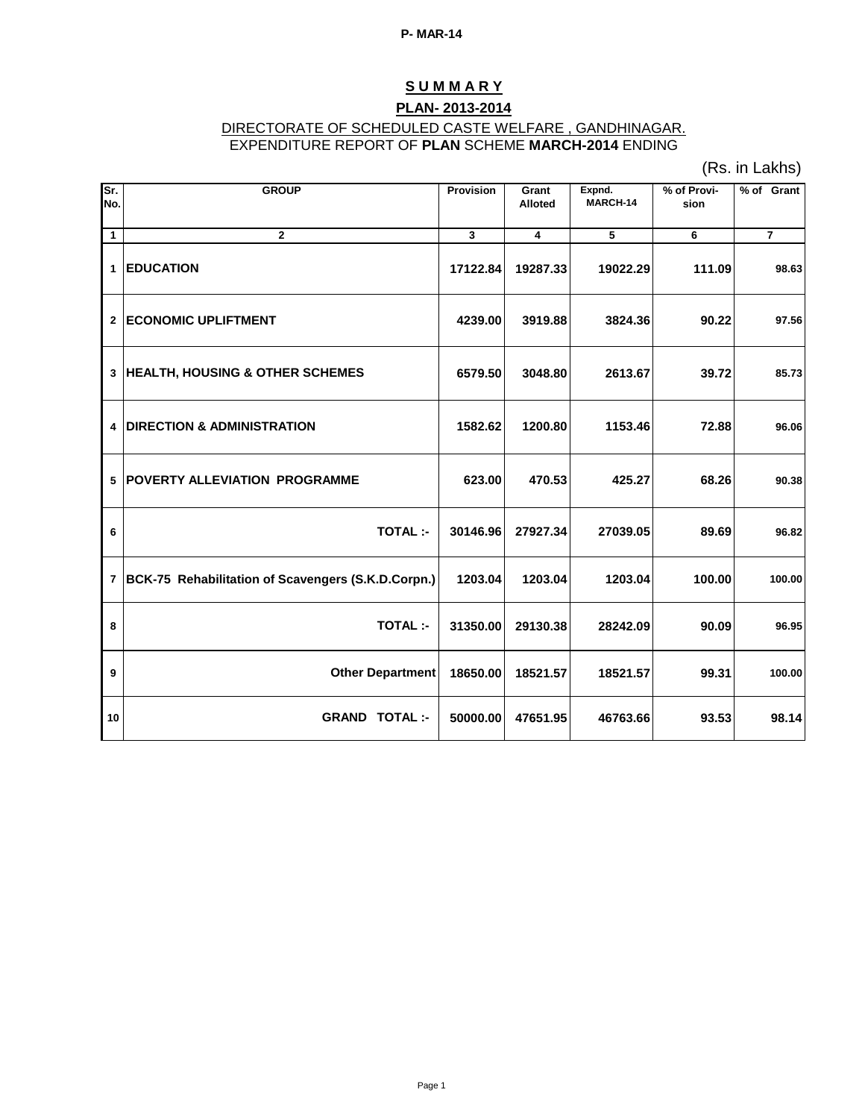# **S U M M A R Y**

## **PLAN- 2013-2014**

#### DIRECTORATE OF SCHEDULED CASTE WELFARE , GANDHINAGAR. EXPENDITURE REPORT OF **PLAN** SCHEME **MARCH-2014** ENDING

(Rs. in Lakhs)

| Sr.<br>No.   | <b>GROUP</b>                                         | <b>Provision</b> | Grant<br><b>Alloted</b> | Expnd.<br>MARCH-14 | % of Provi-<br>sion | % of Grant     |
|--------------|------------------------------------------------------|------------------|-------------------------|--------------------|---------------------|----------------|
| $\mathbf{1}$ | $\overline{2}$                                       | 3                | 4                       | 5                  | 6                   | $\overline{7}$ |
| $\mathbf{1}$ | <b>EDUCATION</b>                                     | 17122.84         | 19287.33                | 19022.29           | 111.09              | 98.63          |
|              | 2 ECONOMIC UPLIFTMENT                                | 4239.00          | 3919.88                 | 3824.36            | 90.22               | 97.56          |
|              | 3 HEALTH, HOUSING & OTHER SCHEMES                    | 6579.50          | 3048.80                 | 2613.67            | 39.72               | 85.73          |
| 4            | <b>DIRECTION &amp; ADMINISTRATION</b>                | 1582.62          | 1200.80                 | 1153.46            | 72.88               | 96.06          |
|              | <b>5  POVERTY ALLEVIATION PROGRAMME</b>              | 623.00           | 470.53                  | 425.27             | 68.26               | 90.38          |
| 6            | <b>TOTAL:-</b>                                       | 30146.96         | 27927.34                | 27039.05           | 89.69               | 96.82          |
|              | 7 BCK-75 Rehabilitation of Scavengers (S.K.D.Corpn.) | 1203.04          | 1203.04                 | 1203.04            | 100.00              | 100.00         |
| 8            | <b>TOTAL:-</b>                                       | 31350.00         | 29130.38                | 28242.09           | 90.09               | 96.95          |
| 9            | <b>Other Department</b>                              | 18650.00         | 18521.57                | 18521.57           | 99.31               | 100.00         |
| 10           | <b>GRAND TOTAL:-</b>                                 | 50000.00         | 47651.95                | 46763.66           | 93.53               | 98.14          |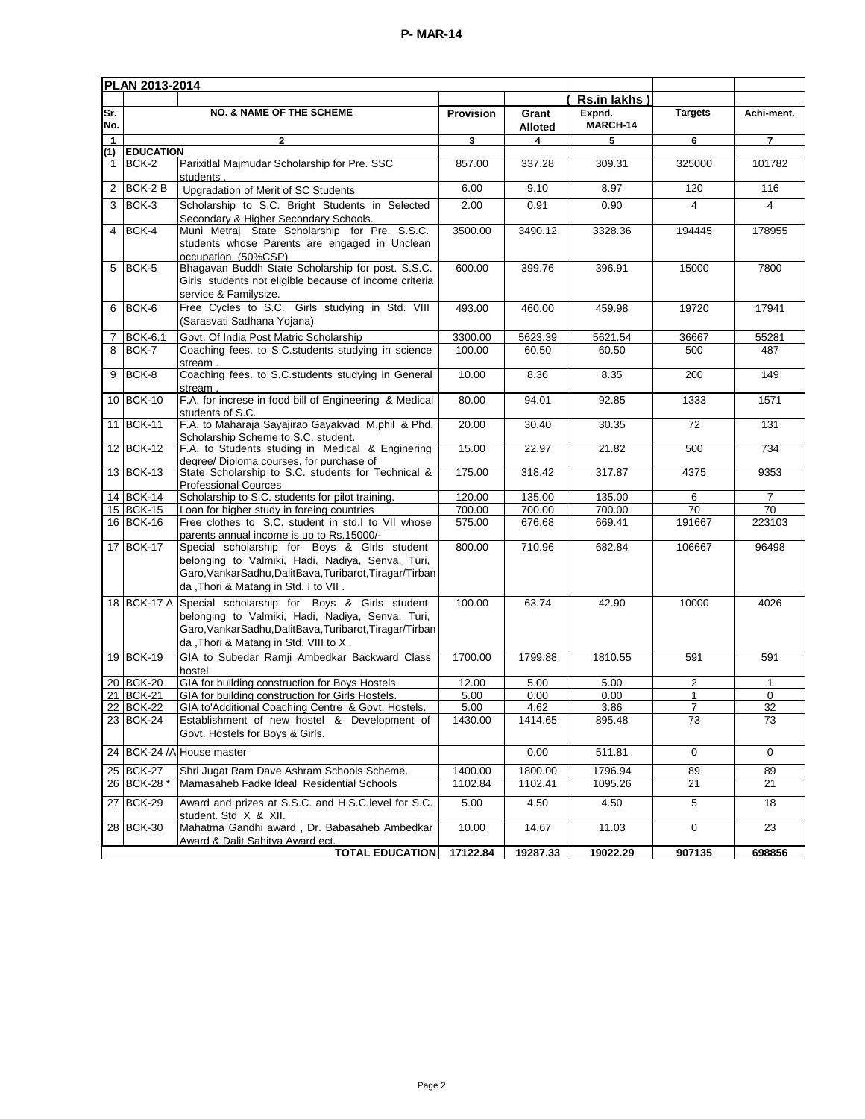|              | PLAN 2013-2014         |                                                                                                                                                                                                        |                  |                         |                    |                |                |  |  |  |  |  |
|--------------|------------------------|--------------------------------------------------------------------------------------------------------------------------------------------------------------------------------------------------------|------------------|-------------------------|--------------------|----------------|----------------|--|--|--|--|--|
|              |                        |                                                                                                                                                                                                        |                  |                         | Rs.in lakhs        |                |                |  |  |  |  |  |
| Sr.<br>No.   |                        | <b>NO. &amp; NAME OF THE SCHEME</b>                                                                                                                                                                    | <b>Provision</b> | Grant<br><b>Alloted</b> | Expnd.<br>MARCH-14 | <b>Targets</b> | Achi-ment.     |  |  |  |  |  |
| $\mathbf{1}$ |                        | $\mathbf{2}$                                                                                                                                                                                           | 3                | 4                       | 5                  | 6              | $\overline{7}$ |  |  |  |  |  |
| $\mathbf{1}$ | (1) EDUCATION<br>BCK-2 | Parixitlal Majmudar Scholarship for Pre. SSC                                                                                                                                                           | 857.00           | 337.28                  | 309.31             | 325000         | 101782         |  |  |  |  |  |
|              |                        | students                                                                                                                                                                                               |                  |                         |                    |                |                |  |  |  |  |  |
| 2            | BCK-2B                 | Upgradation of Merit of SC Students                                                                                                                                                                    | 6.00             | 9.10                    | 8.97               | 120            | 116            |  |  |  |  |  |
| 3            | BCK-3                  | Scholarship to S.C. Bright Students in Selected<br>Secondary & Higher Secondary Schools.                                                                                                               | 2.00             | 0.91                    | 0.90               | 4              | 4              |  |  |  |  |  |
| 4            | BCK-4                  | Muni Metraj State Scholarship for Pre. S.S.C.<br>students whose Parents are engaged in Unclean<br>occupation. (50%CSP)                                                                                 | 3500.00          | 3490.12                 | 3328.36            | 194445         | 178955         |  |  |  |  |  |
| 5            | BCK-5                  | Bhagavan Buddh State Scholarship for post. S.S.C.<br>Girls students not eligible because of income criteria<br>service & Familysize.                                                                   | 600.00           | 399.76                  | 396.91             | 15000          | 7800           |  |  |  |  |  |
| 6            | BCK-6                  | Free Cycles to S.C. Girls studying in Std. VIII<br>(Sarasvati Sadhana Yojana)                                                                                                                          | 493.00           | 460.00                  | 459.98             | 19720          | 17941          |  |  |  |  |  |
| 7            | <b>BCK-6.1</b>         | Govt. Of India Post Matric Scholarship                                                                                                                                                                 | 3300.00          | 5623.39                 | 5621.54            | 36667          | 55281          |  |  |  |  |  |
| 8            | BCK-7                  | Coaching fees. to S.C. students studying in science<br>stream.                                                                                                                                         | 100.00           | 60.50                   | 60.50              | 500            | 487            |  |  |  |  |  |
| 9            | BCK-8                  | Coaching fees. to S.C.students studying in General<br>stream.                                                                                                                                          | 10.00            | 8.36                    | 8.35               | 200            | 149            |  |  |  |  |  |
|              | 10 BCK-10              | F.A. for increse in food bill of Engineering & Medical<br>students of S.C.                                                                                                                             | 80.00            | 94.01                   | 92.85              | 1333           | 1571           |  |  |  |  |  |
|              | 11 BCK-11              | F.A. to Maharaja Sayajirao Gayakvad M.phil & Phd.<br>Scholarship Scheme to S.C. student.                                                                                                               | 20.00            | 30.40                   | 30.35              | 72             | 131            |  |  |  |  |  |
|              | 12 BCK-12              | F.A. to Students studing in Medical & Enginering<br>degree/ Diploma courses, for purchase of                                                                                                           | 15.00            | 22.97                   | 21.82              | 500            | 734            |  |  |  |  |  |
|              | 13 BCK-13              | State Scholarship to S.C. students for Technical &<br><b>Professional Cources</b>                                                                                                                      | 175.00           | 318.42                  | 317.87             | 4375           | 9353           |  |  |  |  |  |
|              | 14 BCK-14              | Scholarship to S.C. students for pilot training.                                                                                                                                                       | 120.00           | 135.00                  | 135.00             | 6              | $\overline{7}$ |  |  |  |  |  |
|              | 15 BCK-15              | Loan for higher study in foreing countries                                                                                                                                                             | 700.00           | 700.00                  | 700.00             | 70             | 70             |  |  |  |  |  |
|              | 16 BCK-16              | Free clothes to S.C. student in std.I to VII whose<br>parents annual income is up to Rs.15000/-                                                                                                        | 575.00           | 676.68                  | 669.41             | 191667         | 223103         |  |  |  |  |  |
|              | 17 BCK-17              | Special scholarship for Boys & Girls student<br>belonging to Valmiki, Hadi, Nadiya, Senva, Turi,<br>Garo, VankarSadhu, DalitBava, Turibarot, Tiragar/Tirban<br>da, Thori & Matang in Std. I to VII.    | 800.00           | 710.96                  | 682.84             | 106667         | 96498          |  |  |  |  |  |
|              | 18 BCK-17 A            | Special scholarship for Boys & Girls student<br>belonging to Valmiki, Hadi, Nadiya, Senva, Turi,<br>Garo, Vankar Sadhu, Dalit Bava, Turibarot, Tiragar/Tirban<br>da, Thori & Matang in Std. VIII to X. |                  | 63.74                   | 42.90              | 10000          | 4026           |  |  |  |  |  |
|              | 19 BCK-19              | GIA to Subedar Ramji Ambedkar Backward Class<br>hostel.                                                                                                                                                | 1700.00          | 1799.88                 | 1810.55            | 591            | 591            |  |  |  |  |  |
|              | 20 BCK-20              | GIA for building construction for Boys Hostels.                                                                                                                                                        | 12.00            | 5.00                    | 5.00               | 2              | $\mathbf{1}$   |  |  |  |  |  |
|              | 21 BCK-21              | GIA for building construction for Girls Hostels.                                                                                                                                                       | 5.00             | 0.00                    | 0.00               | 1<br>7         | 0              |  |  |  |  |  |
|              | 22 BCK-22<br>23 BCK-24 | GIA to'Additional Coaching Centre & Govt. Hostels.<br>Establishment of new hostel & Development of                                                                                                     | 5.00<br>1430.00  | 4.62<br>1414.65         | 3.86<br>895.48     | 73             | 32<br>73       |  |  |  |  |  |
|              |                        | Govt. Hostels for Boys & Girls.                                                                                                                                                                        |                  |                         |                    |                |                |  |  |  |  |  |
|              |                        | 24 BCK-24 /A House master                                                                                                                                                                              |                  | 0.00                    | 511.81             | 0              | 0              |  |  |  |  |  |
|              | 25 BCK-27              | Shri Jugat Ram Dave Ashram Schools Scheme.                                                                                                                                                             | 1400.00          | 1800.00                 | 1796.94            | 89             | 89             |  |  |  |  |  |
|              | 26 BCK-28 *            | Mamasaheb Fadke Ideal Residential Schools                                                                                                                                                              | 1102.84          | 1102.41                 | 1095.26            | 21             | 21             |  |  |  |  |  |
|              | 27 BCK-29              | Award and prizes at S.S.C. and H.S.C. level for S.C.<br>student. Std X & XII.                                                                                                                          | 5.00             | 4.50                    | 4.50               | 5              | 18             |  |  |  |  |  |
|              | 28 BCK-30              | Mahatma Gandhi award, Dr. Babasaheb Ambedkar<br>Award & Dalit Sahitya Award ect.                                                                                                                       | 10.00            | 14.67                   | 11.03              | 0              | 23             |  |  |  |  |  |
|              |                        | <b>TOTAL EDUCATION</b>                                                                                                                                                                                 | 17122.84         | 19287.33                | 19022.29           | 907135         | 698856         |  |  |  |  |  |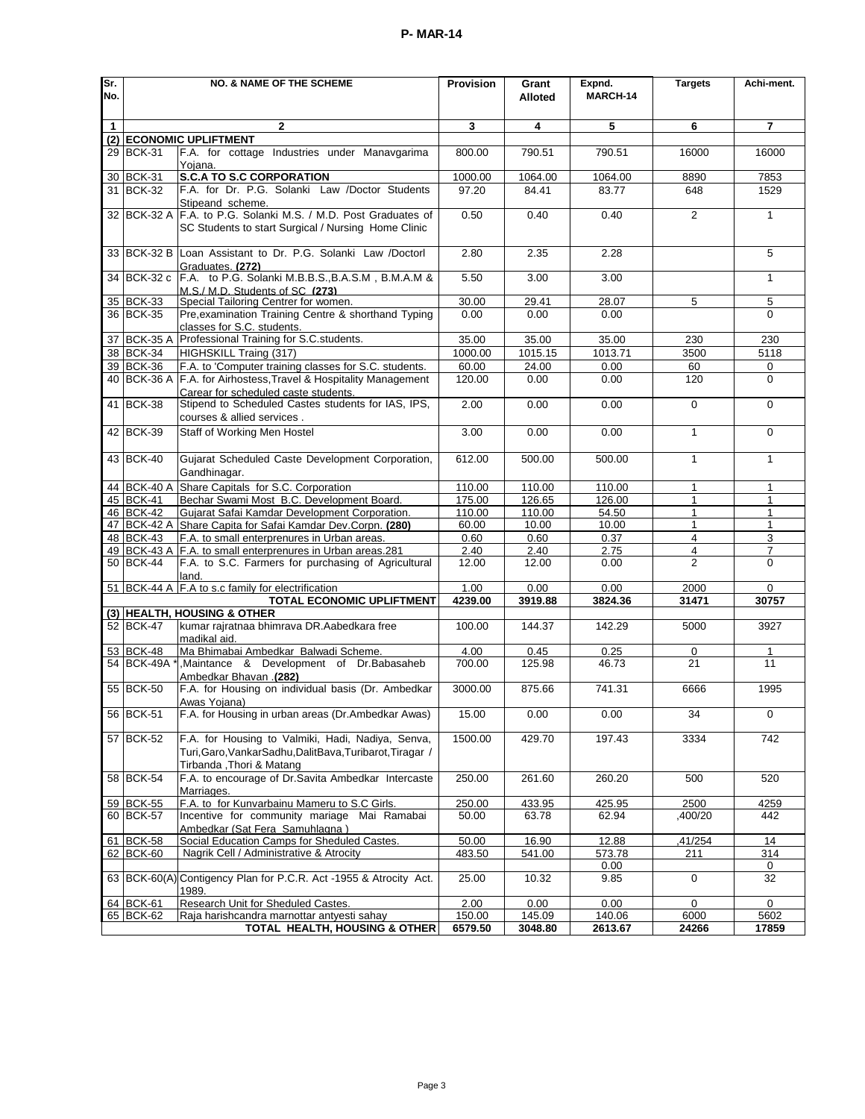| Sr.          |               | <b>NO. &amp; NAME OF THE SCHEME</b>                                             | <b>Provision</b> | Grant   | Expnd.   | <b>Targets</b>      | Achi-ment.     |
|--------------|---------------|---------------------------------------------------------------------------------|------------------|---------|----------|---------------------|----------------|
| No.          |               |                                                                                 |                  | Alloted | MARCH-14 |                     |                |
|              |               |                                                                                 |                  |         |          |                     |                |
| $\mathbf{1}$ |               | $\mathbf{2}$                                                                    | 3                | 4       | 5        | 6                   | $\overline{7}$ |
| (2)          |               | <b>ECONOMIC UPLIFTMENT</b>                                                      |                  |         |          |                     |                |
|              | 29 BCK-31     | F.A. for cottage Industries under Manavgarima                                   | 800.00           | 790.51  | 790.51   | 16000               | 16000          |
|              |               | Yojana.                                                                         |                  |         |          |                     |                |
|              | 30 BCK-31     | <b>S.C.A TO S.C CORPORATION</b>                                                 | 1000.00          | 1064.00 | 1064.00  | 8890                | 7853           |
|              | 31 BCK-32     | F.A. for Dr. P.G. Solanki Law /Doctor Students                                  | 97.20            | 84.41   | 83.77    | 648                 | 1529           |
|              |               | Stipeand scheme.<br>BCK-32 A F.A. to P.G. Solanki M.S. / M.D. Post Graduates of | 0.50             | 0.40    | 0.40     | 2                   | $\mathbf{1}$   |
| 32           |               | SC Students to start Surgical / Nursing Home Clinic                             |                  |         |          |                     |                |
|              |               |                                                                                 |                  |         |          |                     |                |
|              |               | 33 BCK-32 B Loan Assistant to Dr. P.G. Solanki Law /Doctorl                     | 2.80             | 2.35    | 2.28     |                     | 5              |
|              |               | Graduates. (272)                                                                |                  |         |          |                     |                |
|              |               | 34 BCK-32 c F.A. to P.G. Solanki M.B.B.S., B.A.S.M, B.M.A.M &                   | 5.50             | 3.00    | 3.00     |                     | $\mathbf{1}$   |
|              |               | M.S./ M.D. Students of SC (273)                                                 |                  |         |          |                     |                |
|              | 35 BCK-33     | Special Tailoring Centrer for women.                                            | 30.00            | 29.41   | 28.07    | 5                   | 5              |
|              | 36 BCK-35     | Pre, examination Training Centre & shorthand Typing                             | 0.00             | 0.00    | 0.00     |                     | 0              |
| 37           | BCK-35 A      | classes for S.C. students.<br>Professional Training for S.C. students.          | 35.00            | 35.00   | 35.00    |                     |                |
|              | 38 BCK-34     | HIGHSKILL Traing (317)                                                          | 1000.00          | 1015.15 | 1013.71  | 230<br>3500         | 230<br>5118    |
|              | 39 BCK-36     | F.A. to 'Computer training classes for S.C. students.                           | 60.00            | 24.00   | 0.00     | 60                  | 0              |
|              | 40 BCK-36 A   | F.A. for Airhostess, Travel & Hospitality Management                            | 120.00           | 0.00    | 0.00     | 120                 | $\Omega$       |
|              |               | Carear for scheduled caste students.                                            |                  |         |          |                     |                |
|              | 41 BCK-38     | Stipend to Scheduled Castes students for IAS, IPS,                              | 2.00             | 0.00    | 0.00     | $\Omega$            | $\Omega$       |
|              |               | courses & allied services.                                                      |                  |         |          |                     |                |
|              | 42 BCK-39     | Staff of Working Men Hostel                                                     | 3.00             | 0.00    | 0.00     | $\mathbf{1}$        | 0              |
|              |               |                                                                                 |                  |         |          |                     |                |
|              | 43 BCK-40     | Gujarat Scheduled Caste Development Corporation,                                | 612.00           | 500.00  | 500.00   | $\mathbf{1}$        | $\mathbf{1}$   |
|              |               | Gandhinagar.                                                                    |                  |         |          |                     |                |
|              |               | 44 BCK-40 A Share Capitals for S.C. Corporation                                 | 110.00           | 110.00  | 110.00   | $\mathbf{1}$        | $\mathbf{1}$   |
|              | 45 BCK-41     | Bechar Swami Most B.C. Development Board.                                       | 175.00           | 126.65  | 126.00   | $\mathbf{1}$        | $\mathbf{1}$   |
|              | 46 BCK-42     | Gujarat Safai Kamdar Development Corporation.                                   | 110.00           | 110.00  | 54.50    | $\mathbf{1}$        | $\mathbf{1}$   |
|              |               | 47 BCK-42 A Share Capita for Safai Kamdar Dev.Corpn. (280)                      | 60.00            | 10.00   | 10.00    | $\mathbf{1}$        | $\mathbf{1}$   |
|              | 48 BCK-43     | F.A. to small enterprenures in Urban areas.                                     | 0.60             | 0.60    | 0.37     | $\overline{4}$      | 3              |
|              |               | 49 BCK-43 A F.A. to small enterprenures in Urban areas.281                      | 2.40             | 2.40    | 2.75     | 4<br>$\overline{2}$ | 7              |
|              | 50 BCK-44     | F.A. to S.C. Farmers for purchasing of Agricultural<br>land.                    | 12.00            | 12.00   | 0.00     |                     | $\Omega$       |
|              |               | 51 BCK-44 A F.A to s.c family for electrification                               | 1.00             | 0.00    | 0.00     | 2000                | 0              |
|              |               | <b>TOTAL ECONOMIC UPLIFTMENT</b>                                                | 4239.00          | 3919.88 | 3824.36  | 31471               | 30757          |
|              |               | (3) HEALTH, HOUSING & OTHER                                                     |                  |         |          |                     |                |
|              | 52 BCK-47     | kumar rajratnaa bhimrava DR.Aabedkara free                                      | 100.00           | 144.37  | 142.29   | 5000                | 3927           |
|              |               | madikal aid.                                                                    |                  |         |          |                     |                |
|              | 53 BCK-48     | Ma Bhimabai Ambedkar Balwadi Scheme.                                            | 4.00             | 0.45    | 0.25     | 0                   | 1              |
|              | 54 BCK-49A *  | ,Maintance & Development of Dr.Babasaheb                                        | 700.00           | 125.98  | 46.73    | 21                  | 11             |
|              | 55 BCK-50     | Ambedkar Bhavan .(282)<br>F.A. for Housing on individual basis (Dr. Ambedkar    | 3000.00          | 875.66  | 741.31   | 6666                | 1995           |
|              |               | Awas Yojana)                                                                    |                  |         |          |                     |                |
|              | 56 BCK-51     | F.A. for Housing in urban areas (Dr.Ambedkar Awas)                              | 15.00            | 0.00    | 0.00     | 34                  | 0              |
|              |               |                                                                                 |                  |         |          |                     |                |
|              | 57 BCK-52     | F.A. for Housing to Valmiki, Hadi, Nadiya, Senva,                               | 1500.00          | 429.70  | 197.43   | 3334                | 742            |
|              |               | Turi, Garo, Vankar Sadhu, Dalit Bava, Turibarot, Tiragar /                      |                  |         |          |                     |                |
|              |               | Tirbanda , Thori & Matang                                                       |                  |         |          |                     |                |
|              | 58 BCK-54     | F.A. to encourage of Dr.Savita Ambedkar Intercaste                              | 250.00           | 261.60  | 260.20   | 500                 | 520            |
|              |               | Marriages.                                                                      |                  |         |          |                     |                |
| 59           | <b>BCK-55</b> | F.A. to for Kunvarbainu Mameru to S.C Girls.                                    | 250.00           | 433.95  | 425.95   | 2500                | 4259           |
|              | 60 BCK-57     | Incentive for community mariage Mai Ramabai<br>Ambedkar (Sat Fera Samuhlagna)   | 50.00            | 63.78   | 62.94    | ,400/20             | 442            |
|              | 61 BCK-58     | Social Education Camps for Sheduled Castes.                                     | 50.00            | 16.90   | 12.88    | ,41/254             | 14             |
|              | 62 BCK-60     | Nagrik Cell / Administrative & Atrocity                                         | 483.50           | 541.00  | 573.78   | 211                 | 314            |
|              |               |                                                                                 |                  |         | 0.00     |                     | 0              |
|              |               | 63 BCK-60(A) Contigency Plan for P.C.R. Act -1955 & Atrocity Act.               | 25.00            | 10.32   | 9.85     | $\mathbf 0$         | 32             |
|              |               | 1989.                                                                           |                  |         |          |                     |                |
|              | 64 BCK-61     | Research Unit for Sheduled Castes.                                              | 2.00             | 0.00    | 0.00     | 0                   | $\mathbf 0$    |
|              | 65 BCK-62     | Raja harishcandra marnottar antyesti sahay                                      | 150.00           | 145.09  | 140.06   | 6000                | 5602           |
|              |               | TOTAL HEALTH, HOUSING & OTHER                                                   | 6579.50          | 3048.80 | 2613.67  | 24266               | 17859          |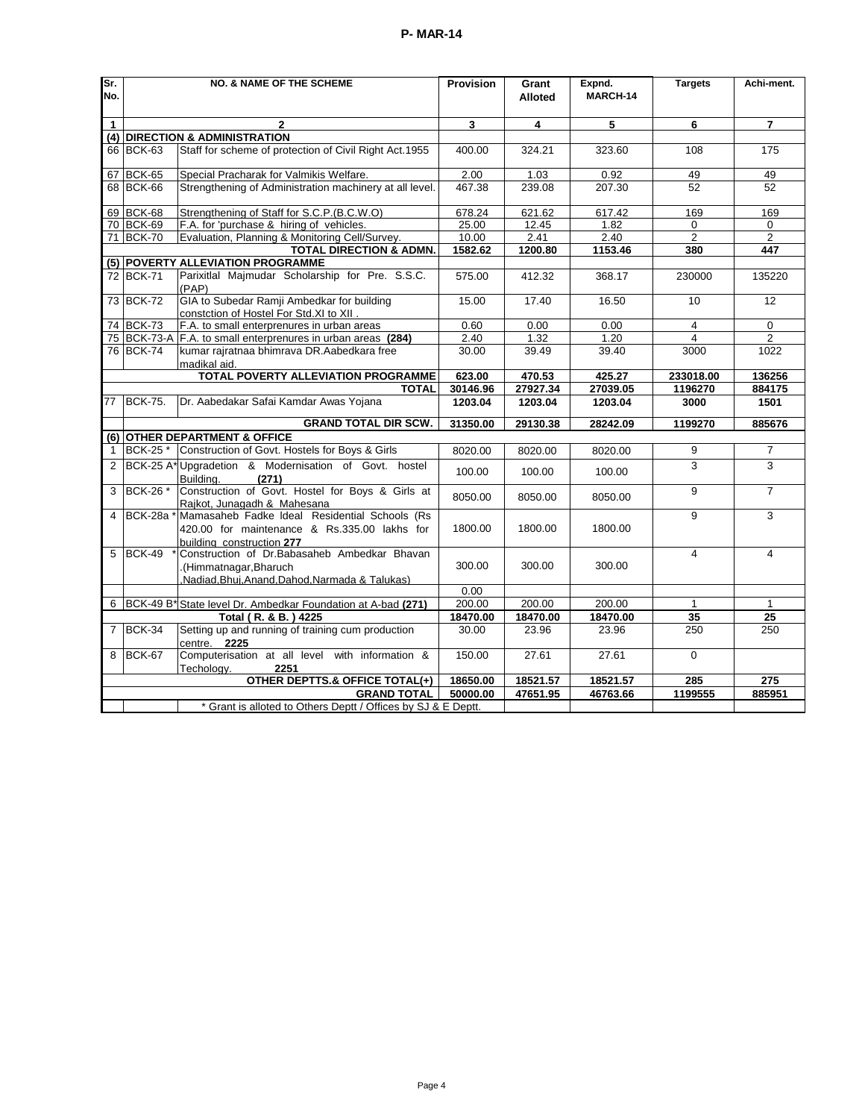| Sr.          |                                                                                                                                      | <b>NO. &amp; NAME OF THE SCHEME</b>                                                                                        | Provision | Grant    | Expnd.   | <b>Targets</b>          | Achi-ment.      |  |  |  |
|--------------|--------------------------------------------------------------------------------------------------------------------------------------|----------------------------------------------------------------------------------------------------------------------------|-----------|----------|----------|-------------------------|-----------------|--|--|--|
| No.          |                                                                                                                                      |                                                                                                                            |           | Alloted  | MARCH-14 |                         |                 |  |  |  |
| $\mathbf{1}$ |                                                                                                                                      | $\mathbf{2}$                                                                                                               | 3         | 4        | 5        | 6                       | $\overline{7}$  |  |  |  |
| (4)          |                                                                                                                                      | <b>DIRECTION &amp; ADMINISTRATION</b>                                                                                      |           |          |          |                         |                 |  |  |  |
|              | 66 BCK-63                                                                                                                            | Staff for scheme of protection of Civil Right Act.1955                                                                     | 400.00    | 324.21   | 323.60   | 108                     | 175             |  |  |  |
|              | 67 BCK-65                                                                                                                            | Special Pracharak for Valmikis Welfare.                                                                                    | 2.00      | 1.03     | 0.92     | 49                      | 49              |  |  |  |
|              | 68 BCK-66                                                                                                                            | Strengthening of Administration machinery at all level.                                                                    | 467.38    | 239.08   | 207.30   | 52                      | 52              |  |  |  |
|              | 69 BCK-68                                                                                                                            | Strengthening of Staff for S.C.P.(B.C.W.O)                                                                                 | 678.24    | 621.62   | 617.42   | 169                     | 169             |  |  |  |
|              | 70 BCK-69                                                                                                                            | F.A. for 'purchase & hiring of vehicles.                                                                                   | 25.00     | 12.45    | 1.82     | 0                       | 0               |  |  |  |
|              | 71 BCK-70                                                                                                                            | Evaluation, Planning & Monitoring Cell/Survey.                                                                             | 10.00     | 2.41     | 2.40     | $\overline{2}$          | $\overline{2}$  |  |  |  |
|              |                                                                                                                                      | <b>TOTAL DIRECTION &amp; ADMN.</b>                                                                                         | 1582.62   | 1200.80  | 1153.46  | 380                     | 447             |  |  |  |
|              |                                                                                                                                      | (5) POVERTY ALLEVIATION PROGRAMME                                                                                          |           |          |          |                         |                 |  |  |  |
|              | 72 BCK-71                                                                                                                            | Parixitlal Majmudar Scholarship for Pre. S.S.C.<br>(PAP)                                                                   | 575.00    | 412.32   | 368.17   | 230000                  | 135220          |  |  |  |
|              | 73 BCK-72                                                                                                                            | GIA to Subedar Ramji Ambedkar for building<br>constction of Hostel For Std.XI to XII.                                      | 15.00     | 17.40    | 16.50    | 10                      | 12              |  |  |  |
|              | 74 BCK-73                                                                                                                            | F.A. to small enterprenures in urban areas                                                                                 | 0.60      | 0.00     | 0.00     | 4                       | $\Omega$        |  |  |  |
|              |                                                                                                                                      | 75 BCK-73-A F.A. to small enterprenures in urban areas (284)                                                               | 2.40      | 1.32     | 1.20     | $\overline{\mathbf{4}}$ | $\overline{2}$  |  |  |  |
|              | 76 BCK-74                                                                                                                            | kumar rajratnaa bhimrava DR.Aabedkara free<br>madikal aid.                                                                 | 30.00     | 39.49    | 39.40    | 3000                    | 1022            |  |  |  |
|              |                                                                                                                                      | TOTAL POVERTY ALLEVIATION PROGRAMME                                                                                        | 623.00    | 470.53   | 425.27   | 233018.00               | 136256          |  |  |  |
|              |                                                                                                                                      | <b>TOTAL</b>                                                                                                               | 30146.96  | 27927.34 | 27039.05 | 1196270                 | 884175          |  |  |  |
| 77           | <b>BCK-75.</b>                                                                                                                       | Dr. Aabedakar Safai Kamdar Awas Yojana                                                                                     | 1203.04   | 1203.04  | 1203.04  | 3000                    | 1501            |  |  |  |
|              |                                                                                                                                      | <b>GRAND TOTAL DIR SCW.</b>                                                                                                | 31350.00  | 29130.38 | 28242.09 | 1199270                 | 885676          |  |  |  |
|              |                                                                                                                                      | (6) OTHER DEPARTMENT & OFFICE                                                                                              |           |          |          |                         |                 |  |  |  |
| $\mathbf{1}$ | <b>BCK-25 *</b>                                                                                                                      | Construction of Govt. Hostels for Boys & Girls                                                                             | 8020.00   | 8020.00  | 8020.00  | 9                       | $\overline{7}$  |  |  |  |
| 2            |                                                                                                                                      | BCK-25 A* Upgradetion & Modernisation of Govt. hostel<br>(271)<br>Building.                                                | 100.00    | 100.00   | 100.00   | 3                       | 3               |  |  |  |
| 3            | BCK-26 *                                                                                                                             | Construction of Govt. Hostel for Boys & Girls at<br>Rajkot, Junagadh & Mahesana                                            | 8050.00   | 8050.00  | 8050.00  | 9                       | $\overline{7}$  |  |  |  |
| 4            | <b>BCK-28a</b> *                                                                                                                     | Mamasaheb Fadke Ideal Residential Schools (Rs<br>420.00 for maintenance & Rs.335.00 lakhs for<br>buildina construction 277 | 1800.00   | 1800.00  | 1800.00  | 9                       | 3               |  |  |  |
| 5            | Construction of Dr.Babasaheb Ambedkar Bhavan<br><b>BCK-49</b><br>Himmatnagar, Bharuch<br>Nadiad.Bhui.Anand.Dahod.Narmada & Talukas). |                                                                                                                            | 300.00    | 300.00   | 300.00   | $\overline{\mathbf{4}}$ | $\overline{4}$  |  |  |  |
|              |                                                                                                                                      |                                                                                                                            | 0.00      |          |          |                         |                 |  |  |  |
|              |                                                                                                                                      | 6 BCK-49 B* State level Dr. Ambedkar Foundation at A-bad (271)                                                             | 200.00    | 200.00   | 200.00   | $\mathbf{1}$            | $\mathbf{1}$    |  |  |  |
|              |                                                                                                                                      | Total (R. & B.) 4225                                                                                                       | 18470.00  | 18470.00 | 18470.00 | 35                      | $\overline{25}$ |  |  |  |
|              | 7 BCK-34                                                                                                                             | Setting up and running of training cum production<br>centre. 2225                                                          | 30.00     | 23.96    | 23.96    | 250                     | 250             |  |  |  |
| 8            | BCK-67                                                                                                                               | Computerisation at all level with information &<br>2251<br>Techology.                                                      | 150.00    | 27.61    | 27.61    | $\Omega$                |                 |  |  |  |
|              |                                                                                                                                      | <b>OTHER DEPTTS.&amp; OFFICE TOTAL(+)</b>                                                                                  | 18650.00  | 18521.57 | 18521.57 | 285                     | 275             |  |  |  |
|              |                                                                                                                                      | <b>GRAND TOTAL</b>                                                                                                         | 50000.00  | 47651.95 | 46763.66 | 1199555                 | 885951          |  |  |  |
|              |                                                                                                                                      | * Grant is alloted to Others Deptt / Offices by SJ & E Deptt.                                                              |           |          |          |                         |                 |  |  |  |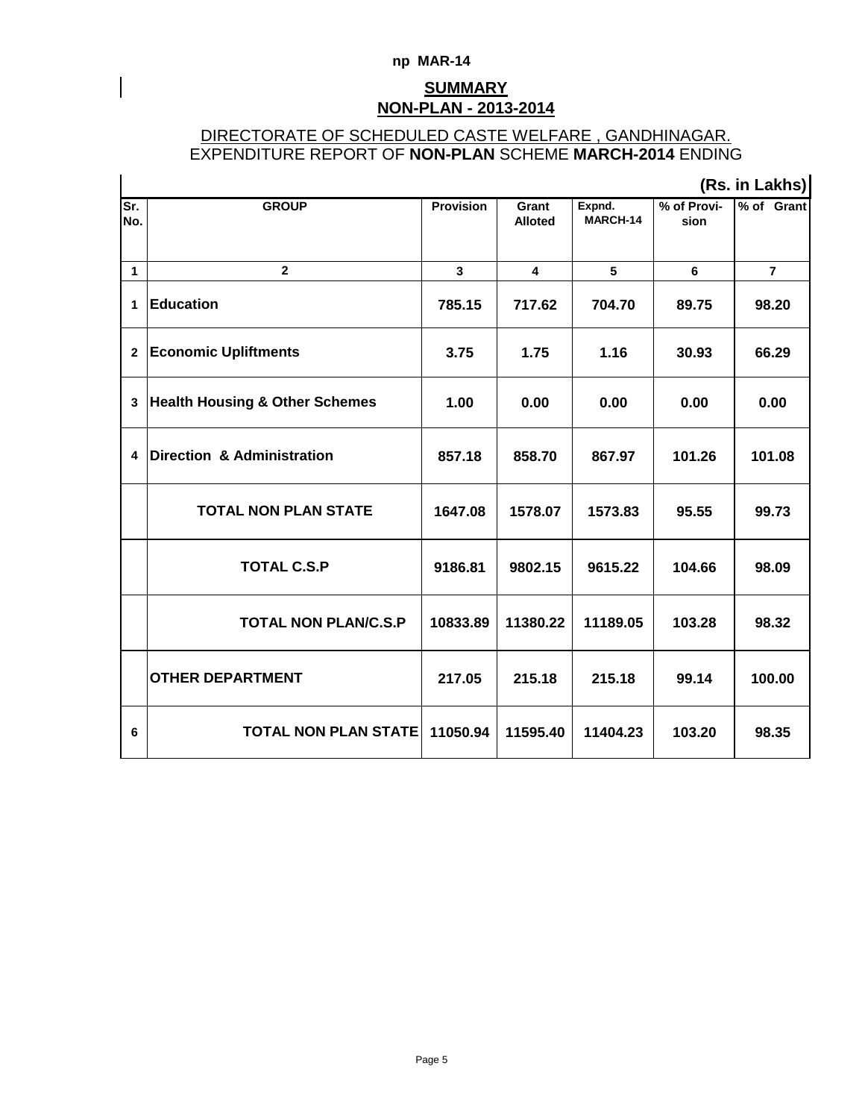### **np MAR-14**

# **NON-PLAN - 2013-2014 SUMMARY**

## DIRECTORATE OF SCHEDULED CASTE WELFARE , GANDHINAGAR. EXPENDITURE REPORT OF **NON-PLAN** SCHEME **MARCH-2014** ENDING

|              |                                           |                  | (Rs. in Lakhs)          |                    |                     |                |  |  |  |
|--------------|-------------------------------------------|------------------|-------------------------|--------------------|---------------------|----------------|--|--|--|
| Sr.<br>No.   | <b>GROUP</b>                              | <b>Provision</b> | Grant<br><b>Alloted</b> | Expnd.<br>MARCH-14 | % of Provi-<br>sion | % of Grant     |  |  |  |
| $\mathbf{1}$ | $\mathbf{2}$                              | $\mathbf{3}$     | $\overline{\mathbf{4}}$ | 5                  | $\bf 6$             | $\overline{7}$ |  |  |  |
| 1            | <b>Education</b>                          | 785.15           | 717.62                  | 704.70             | 89.75               | 98.20          |  |  |  |
| $\mathbf{2}$ | <b>Economic Upliftments</b>               | 3.75             | 1.75                    | 1.16               | 30.93               | 66.29          |  |  |  |
| 3            | <b>Health Housing &amp; Other Schemes</b> | 1.00             | 0.00                    | 0.00               | 0.00                | 0.00           |  |  |  |
| 4            | <b>Direction &amp; Administration</b>     | 857.18           | 858.70                  | 867.97             | 101.26              | 101.08         |  |  |  |
|              | <b>TOTAL NON PLAN STATE</b>               | 1647.08          | 1578.07                 | 1573.83            | 95.55               | 99.73          |  |  |  |
|              | <b>TOTAL C.S.P</b>                        | 9186.81          | 9802.15                 | 9615.22            | 104.66              | 98.09          |  |  |  |
|              | <b>TOTAL NON PLAN/C.S.P</b>               | 10833.89         | 11380.22                | 11189.05           | 103.28              | 98.32          |  |  |  |
|              | <b>OTHER DEPARTMENT</b>                   | 217.05           | 215.18                  | 215.18             | 99.14               | 100.00         |  |  |  |
| 6            | <b>TOTAL NON PLAN STATE</b>               | 11050.94         | 11595.40                | 11404.23           | 103.20              | 98.35          |  |  |  |

Page 5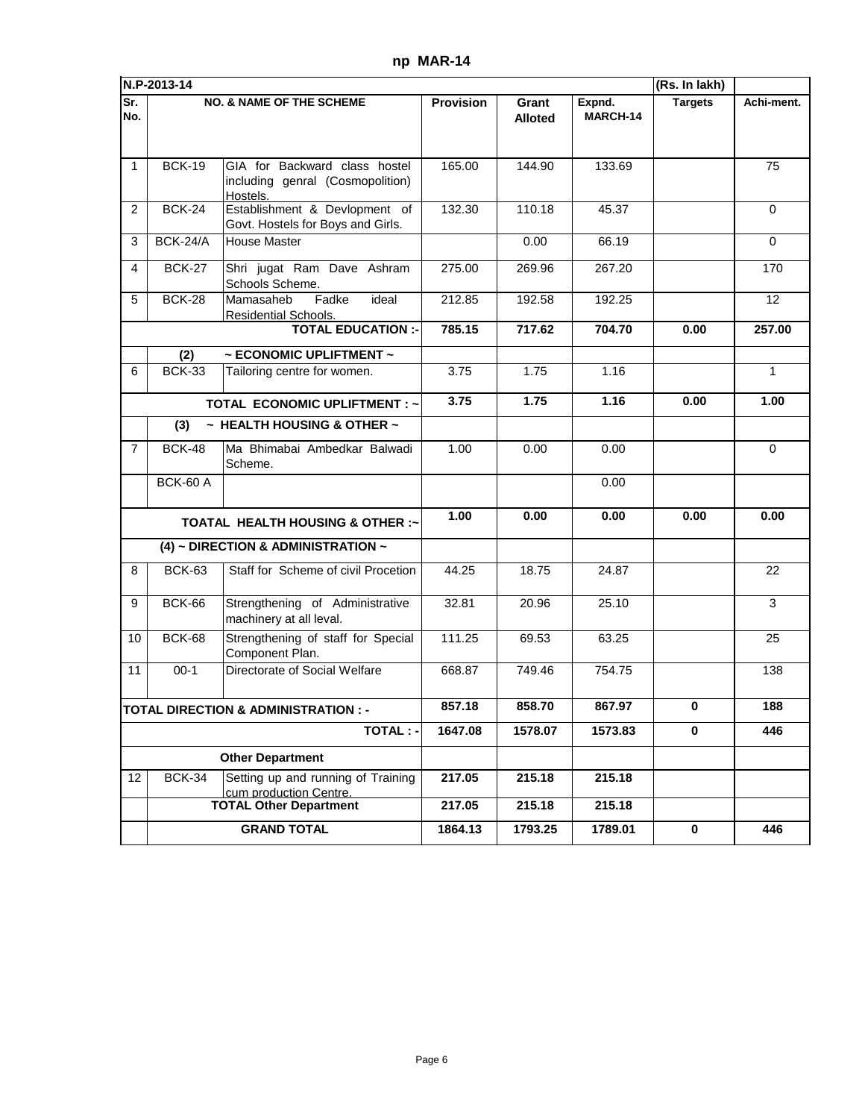|                 | N.P-2013-14     |                                                                               |                  |                         |                    | (Rs. In lakh)  |             |
|-----------------|-----------------|-------------------------------------------------------------------------------|------------------|-------------------------|--------------------|----------------|-------------|
| Sr.<br>No.      |                 | <b>NO. &amp; NAME OF THE SCHEME</b>                                           | <b>Provision</b> | Grant<br><b>Alloted</b> | Expnd.<br>MARCH-14 | <b>Targets</b> | Achi-ment.  |
| $\mathbf{1}$    | <b>BCK-19</b>   | GIA for Backward class hostel<br>including genral (Cosmopolition)<br>Hostels. | 165.00           | 144.90                  | 133.69             |                | 75          |
| 2               | <b>BCK-24</b>   | Establishment & Devlopment of<br>Govt. Hostels for Boys and Girls.            | 132.30           | 110.18                  | 45.37              |                | $\Omega$    |
| 3               | BCK-24/A        | <b>House Master</b>                                                           |                  | 0.00                    | 66.19              |                | $\Omega$    |
| 4               | <b>BCK-27</b>   | Shri jugat Ram Dave Ashram<br>Schools Scheme.                                 | 275.00           | 269.96                  | 267.20             |                | 170         |
| 5               | <b>BCK-28</b>   | Fadke<br>Mamasaheb<br>ideal<br>Residential Schools.                           | 212.85           | 192.58                  | 192.25             |                | 12          |
|                 |                 | <b>TOTAL EDUCATION :-</b>                                                     | 785.15           | 717.62                  | 704.70             | 0.00           | 257.00      |
|                 | (2)             | $\sim$ ECONOMIC UPLIFTMENT $\sim$                                             |                  |                         |                    |                |             |
| 6               | <b>BCK-33</b>   | Tailoring centre for women.                                                   | 3.75             | 1.75                    | 1.16               |                | 1           |
|                 |                 | <b>TOTAL ECONOMIC UPLIFTMENT: ~</b>                                           | 3.75             | 1.75                    | 1.16               | 0.00           | 1.00        |
|                 | (3)             | $\sim$ HEALTH HOUSING & OTHER $\sim$                                          |                  |                         |                    |                |             |
| 7               | <b>BCK-48</b>   | Ma Bhimabai Ambedkar Balwadi<br>Scheme.                                       | 1.00             | 0.00                    | 0.00               |                | $\mathbf 0$ |
|                 | <b>BCK-60 A</b> |                                                                               |                  |                         | 0.00               |                |             |
|                 |                 | <b>TOATAL HEALTH HOUSING &amp; OTHER :~</b>                                   | 1.00             | 0.00                    | 0.00               | 0.00           | 0.00        |
|                 |                 | (4) ~ DIRECTION & ADMINISTRATION $\sim$                                       |                  |                         |                    |                |             |
| 8               | <b>BCK-63</b>   | Staff for Scheme of civil Procetion                                           | 44.25            | 18.75                   | 24.87              |                | 22          |
| 9               | <b>BCK-66</b>   | Strengthening of Administrative<br>machinery at all leval.                    | 32.81            | 20.96                   | 25.10              |                | 3           |
| 10              | <b>BCK-68</b>   | Strengthening of staff for Special<br>Component Plan.                         | 111.25           | 69.53                   | 63.25              |                | 25          |
| 11              | $00-1$          | Directorate of Social Welfare                                                 | 668.87           | 749.46                  | 754.75             |                | 138         |
|                 |                 | <b>TOTAL DIRECTION &amp; ADMINISTRATION : -</b>                               | 857.18           | 858.70                  | 867.97             | 0              | 188         |
|                 |                 | <b>TOTAL:-</b>                                                                | 1647.08          | 1578.07                 | 1573.83            | 0              | 446         |
|                 |                 | <b>Other Department</b>                                                       |                  |                         |                    |                |             |
| 12 <sup>2</sup> | <b>BCK-34</b>   | Setting up and running of Training<br>cum production Centre.                  | 217.05           | 215.18                  | 215.18             |                |             |
|                 |                 | <b>TOTAL Other Department</b>                                                 | 217.05           | 215.18                  | 215.18             |                |             |
|                 |                 | <b>GRAND TOTAL</b>                                                            | 1864.13          | 1793.25                 | 1789.01            | 0              | 446         |